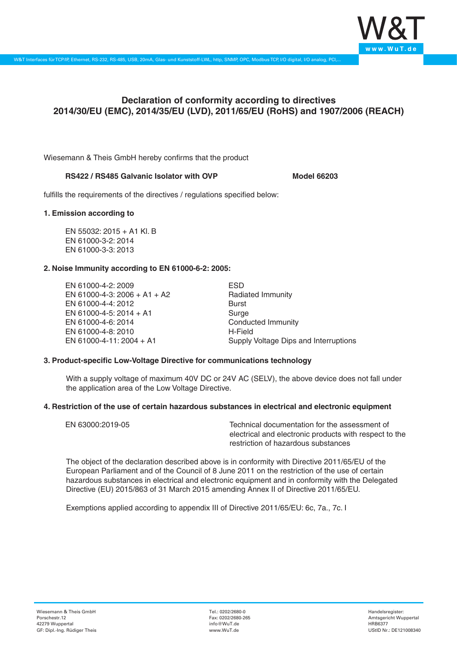

# **Declaration of conformity according to directives 2014/30/EU (EMC), 2014/35/EU (LVD), 2011/65/EU (RoHS) and 1907/2006 (REACH)**

Wiesemann & Theis GmbH hereby confirms that the product

### **RS422 / RS485 Galvanic Isolator with OVP Model 66203**

fulfills the requirements of the directives / regulations specified below:

#### **1. Emission according to**

EN 55032: 2015 + A1 Kl. B EN 61000-3-2: 2014 EN 61000-3-3: 2013

## **2. Noise Immunity according to EN 61000-6-2: 2005:**

EN 61000-4-2: 2009 EN 61000-4-3: 2006 + A1 + A2 EN 61000-4-4: 2012 EN 61000-4-5: 2014 + A1 EN 61000-4-6: 2014 EN 61000-4-8: 2010 EN 61000-4-11: 2004 + A1

ESD Radiated Immunity Burst Surge Conducted Immunity H-Field Supply Voltage Dips and Interruptions

## **3. Product-specific Low-Voltage Directive for communications technology**

With a supply voltage of maximum 40V DC or 24V AC (SELV), the above device does not fall under the application area of the Low Voltage Directive.

#### **4. Restriction of the use of certain hazardous substances in electrical and electronic equipment**

| EN 63000:2019-05 | Technical documentation for the assessment of          |
|------------------|--------------------------------------------------------|
|                  | electrical and electronic products with respect to the |
|                  | restriction of hazardous substances                    |

The object of the declaration described above is in conformity with Directive 2011/65/EU of the European Parliament and of the Council of 8 June 2011 on the restriction of the use of certain hazardous substances in electrical and electronic equipment and in conformity with the Delegated Directive (EU) 2015/863 of 31 March 2015 amending Annex II of Directive 2011/65/EU.

Exemptions applied according to appendix III of Directive 2011/65/EU: 6c, 7a., 7c. I